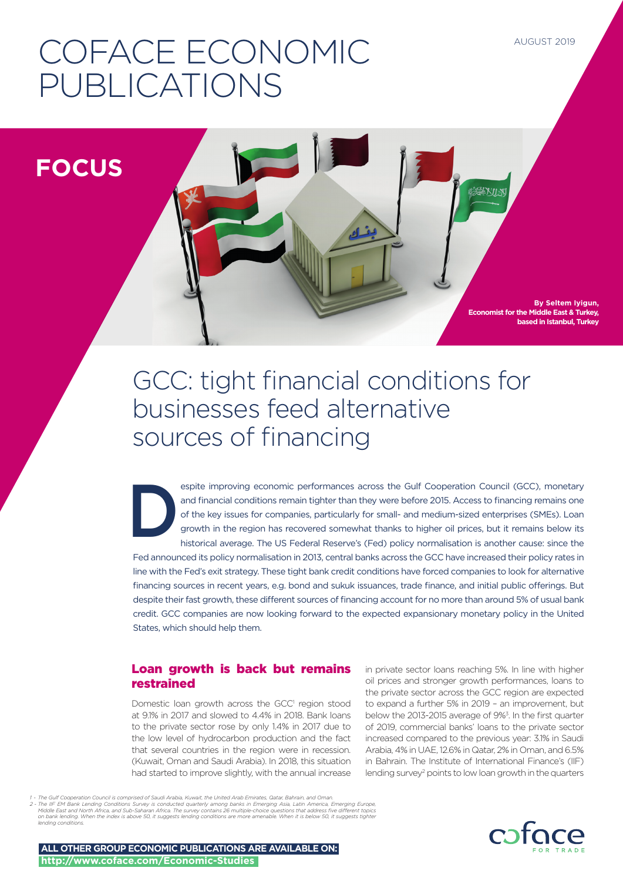# COFACE ECONOMIC PUBLICATIONS

**FOCUS**

**By Seltem Iyigun, Economist for the Middle East & Turkey, based in Istanbul, Turkey**

後学人以外

# GCC: tight financial conditions for businesses feed alternative sources of financing

espite improving economic performances across the Gulf Cooperation Council (GCC), monetary<br>and financial conditions remain tighter than they were before 2015. Access to financing remains one<br>of the key issues for companies and financial conditions remain tighter than they were before 2015. Access to financing remains one of the key issues for companies, particularly for small- and medium-sized enterprises (SMEs). Loan growth in the region has recovered somewhat thanks to higher oil prices, but it remains below its historical average. The US Federal Reserve's (Fed) policy normalisation is another cause: since the Fed announced its policy normalisation in 2013, central banks across the GCC have increased their policy rates in line with the Fed's exit strategy. These tight bank credit conditions have forced companies to look for alternative financing sources in recent years, e.g. bond and sukuk issuances, trade finance, and initial public offerings. But despite their fast growth, these different sources of financing account for no more than around 5% of usual bank credit. GCC companies are now looking forward to the expected expansionary monetary policy in the United States, which should help them.

# Loan growth is back but remains restrained

Domestic loan growth across the GCC<sup>1</sup> region stood at 9.1% in 2017 and slowed to 4.4% in 2018. Bank loans to the private sector rose by only 1.4% in 2017 due to the low level of hydrocarbon production and the fact that several countries in the region were in recession. (Kuwait, Oman and Saudi Arabia). In 2018, this situation had started to improve slightly, with the annual increase

in private sector loans reaching 5%. In line with higher oil prices and stronger growth performances, loans to the private sector across the GCC region are expected to expand a further 5% in 2019 – an improvement, but below the 2013-2015 average of 9%<sup>3</sup>. In the first quarter of 2019, commercial banks' loans to the private sector increased compared to the previous year: 3.1% in Saudi Arabia, 4% in UAE, 12.6% in Qatar, 2% in Oman, and 6.5% in Bahrain. The Institute of International Finance's (IIF) lending survey<sup>2</sup> points to low loan growth in the quarters



**ALL OTHER GROUP ECONOMIC PUBLICATIONS ARE AVAILABLE ON: http://www.coface.com/Economic-Studies**

*<sup>1 -</sup> The Gulf Cooperation Council is comprised of Saudi Arabia, Kuwait, the United Arab Emirates, Qatar, Bahrain, and Oman.* . The IIF EM Bank Lending Conditions Survey is conducted quarterly among banks in Emerging Asia, Latin America, Emerging Europe, وMiddle East and North Africa, and Sub-Saharan Africa, and Sub America, Emerging Europe,<br>Midd *lending conditions.*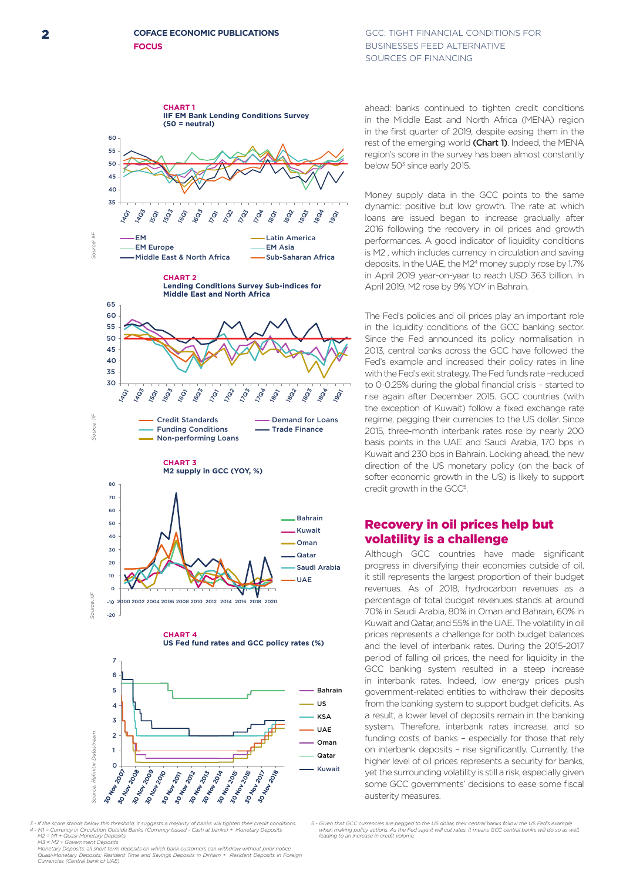#### **COFACE ECONOMIC PUBLICATIONS FOCUS**

#### **2 COFACE ECONOMIC PUBLICATIONS GCC: TIGHT FINANCIAL CONDITIONS FOR** BUSINESSES FEED ALTERNATIVE SOURCES OF FINANCING



*3 - If the score stands below this threshold, it suggests a majority of banks will tighten their credit conditions. 4 - M1 = Currency in Circulation Outside Banks (Currency Issued - Cash at banks) + Monetary Deposits M2 = M1 + Quasi-Monetary Deposits*

M3 = M2 + Government Deposits<br>Monetary Deposits: all short term deposits on which bank customers can withdraw without prior notice<br>Quasi-Monetary Deposits: Resident Time and Savings Deposits in Dirham + Resident Deposits

ahead: banks continued to tighten credit conditions in the Middle East and North Africa (MENA) region in the first quarter of 2019, despite easing them in the rest of the emerging world (Chart 1). Indeed, the MENA region's score in the survey has been almost constantly below 50<sup>3</sup> since early 2015.

Money supply data in the GCC points to the same dynamic: positive but low growth. The rate at which loans are issued began to increase gradually after 2016 following the recovery in oil prices and growth performances. A good indicator of liquidity conditions is M2 , which includes currency in circulation and saving deposits. In the UAE, the M24 money supply rose by 1.7% in April 2019 year-on-year to reach USD 363 billion. In April 2019, M2 rose by 9% YOY in Bahrain.

The Fed's policies and oil prices play an important role in the liquidity conditions of the GCC banking sector. Since the Fed announced its policy normalisation in 2013, central banks across the GCC have followed the Fed's example and increased their policy rates in line with the Fed's exit strategy. The Fed funds rate –reduced to 0-0.25% during the global financial crisis – started to rise again after December 2015. GCC countries (with the exception of Kuwait) follow a fixed exchange rate regime, pegging their currencies to the US dollar. Since 2015, three-month interbank rates rose by nearly 200 basis points in the UAE and Saudi Arabia, 170 bps in Kuwait and 230 bps in Bahrain. Looking ahead, the new direction of the US monetary policy (on the back of softer economic growth in the US) is likely to support credit growth in the GCC<sup>5</sup>.

## Recovery in oil prices help but volatility is a challenge

Although GCC countries have made significant progress in diversifying their economies outside of oil, it still represents the largest proportion of their budget revenues. As of 2018, hydrocarbon revenues as a percentage of total budget revenues stands at around 70% in Saudi Arabia, 80% in Oman and Bahrain, 60% in Kuwait and Qatar, and 55% in the UAE. The volatility in oil prices represents a challenge for both budget balances and the level of interbank rates. During the 2015-2017 period of falling oil prices, the need for liquidity in the GCC banking system resulted in a steep increase in interbank rates. Indeed, low energy prices push government-related entities to withdraw their deposits from the banking system to support budget deficits. As a result, a lower level of deposits remain in the banking system. Therefore, interbank rates increase, and so funding costs of banks – especially for those that rely on interbank deposits – rise significantly. Currently, the higher level of oil prices represents a security for banks, yet the surrounding volatility is still a risk, especially given some GCC governments' decisions to ease some fiscal austerity measures.

*5 - Given that GCC currencies are pegged to the US dollar, their central banks follow the US Fed's example when making policy actions. As the Fed says it will cut rates, it means GCC central banks will do so as well, leading to an increase in credit volume.*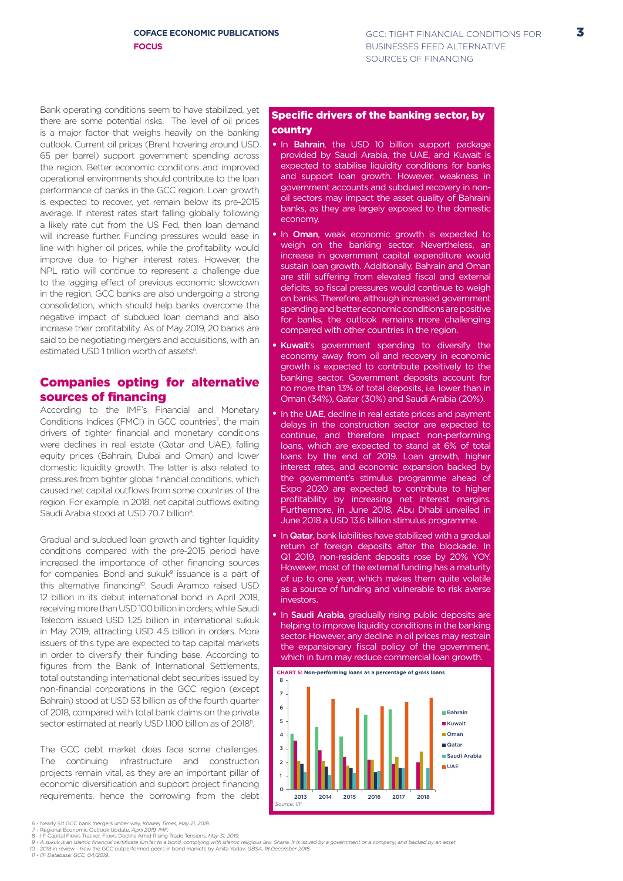Bank operating conditions seem to have stabilized, yet there are some potential risks. The level of oil prices is a major factor that weighs heavily on the banking outlook. Current oil prices (Brent hovering around USD 65 per barrel) support government spending across the region. Better economic conditions and improved operational environments should contribute to the loan performance of banks in the GCC region. Loan growth is expected to recover, yet remain below its pre-2015 average. If interest rates start falling globally following a likely rate cut from the US Fed, then loan demand will increase further. Funding pressures would ease in line with higher oil prices, while the profitability would improve due to higher interest rates. However, the NPL ratio will continue to represent a challenge due to the lagging effect of previous economic slowdown in the region. GCC banks are also undergoing a strong consolidation, which should help banks overcome the negative impact of subdued loan demand and also increase their profitability. As of May 2019, 20 banks are said to be negotiating mergers and acquisitions, with an estimated USD 1 trillion worth of assets<sup>6</sup>.

## Companies opting for alternative sources of financing

According to the IMF's Financial and Monetary Conditions Indices (FMCI) in GCC countries<sup>7</sup>, the main drivers of tighter financial and monetary conditions were declines in real estate (Qatar and UAE), falling equity prices (Bahrain, Dubai and Oman) and lower domestic liquidity growth. The latter is also related to pressures from tighter global financial conditions, which caused net capital outflows from some countries of the region. For example, in 2018, net capital outflows exiting Saudi Arabia stood at USD 70.7 billion<sup>8</sup>.

Gradual and subdued loan growth and tighter liquidity conditions compared with the pre-2015 period have increased the importance of other financing sources for companies. Bond and sukuk $9$  issuance is a part of this alternative financing<sup>10</sup>. Saudi Aramco raised USD 12 billion in its debut international bond in April 2019, receiving more than USD 100 billion in orders; while Saudi Telecom issued USD 1.25 billion in international sukuk in May 2019, attracting USD 4.5 billion in orders. More issuers of this type are expected to tap capital markets in order to diversify their funding base. According to figures from the Bank of International Settlements, total outstanding international debt securities issued by non-financial corporations in the GCC region (except Bahrain) stood at USD 53 billion as of the fourth quarter of 2018, compared with total bank claims on the private sector estimated at nearly USD 1.100 billion as of 2018<sup>11</sup>.

The GCC debt market does face some challenges. The continuing infrastructure and construction projects remain vital, as they are an important pillar of economic diversification and support project financing requirements, hence the borrowing from the debt

#### Specific drivers of the banking sector, by country

- In Bahrain, the USD 10 billion support package provided by Saudi Arabia, the UAE, and Kuwait is expected to stabilise liquidity conditions for banks and support loan growth. However, weakness in government accounts and subdued recovery in nonoil sectors may impact the asset quality of Bahraini banks, as they are largely exposed to the domestic economy.
- In Oman, weak economic growth is expected to weigh on the banking sector. Nevertheless, an increase in government capital expenditure would sustain loan growth. Additionally, Bahrain and Oman are still suffering from elevated fiscal and external deficits, so fiscal pressures would continue to weigh on banks. Therefore, although increased government spending and better economic conditions are positive for banks, the outlook remains more challenging compared with other countries in the region.
- Kuwait's government spending to diversify the economy away from oil and recovery in economic growth is expected to contribute positively to the banking sector. Government deposits account for no more than 13% of total deposits, i.e. lower than in Oman (34%), Qatar (30%) and Saudi Arabia (20%).
- In the UAE, decline in real estate prices and payment delays in the construction sector are expected to continue, and therefore impact non-performing loans, which are expected to stand at 6% of total loans by the end of 2019. Loan growth, higher interest rates, and economic expansion backed by the government's stimulus programme ahead of Expo 2020 are expected to contribute to higher profitability by increasing net interest margins. Furthermore, in June 2018, Abu Dhabi unveiled in June 2018 a USD 13.6 billion stimulus programme.
- In Qatar, bank liabilities have stabilized with a gradual return of foreign deposits after the blockade. In Q1 2019, non-resident deposits rose by 20% YOY. However, most of the external funding has a maturity of up to one year, which makes them quite volatile as a source of funding and vulnerable to risk averse investors.
- In Saudi Arabia, gradually rising public deposits are helping to improve liquidity conditions in the banking sector. However, any decline in oil prices may restrain the expansionary fiscal policy of the government, which in turn may reduce commercial loan growth.



- 
- Nearly \$1t GCC bank mergers under way, Khaleej Times, May 21, 2019.<br>Regional Economic Outlook Update, April 2019, IMF;<br>IIF Capital Flows Tracker, Flows Decline Amid Rising Trade Tensions, May 31, 2019.<br>2018 in review how *6 - 7 - 8 - 9 - 10 - 11 -*
- 
-